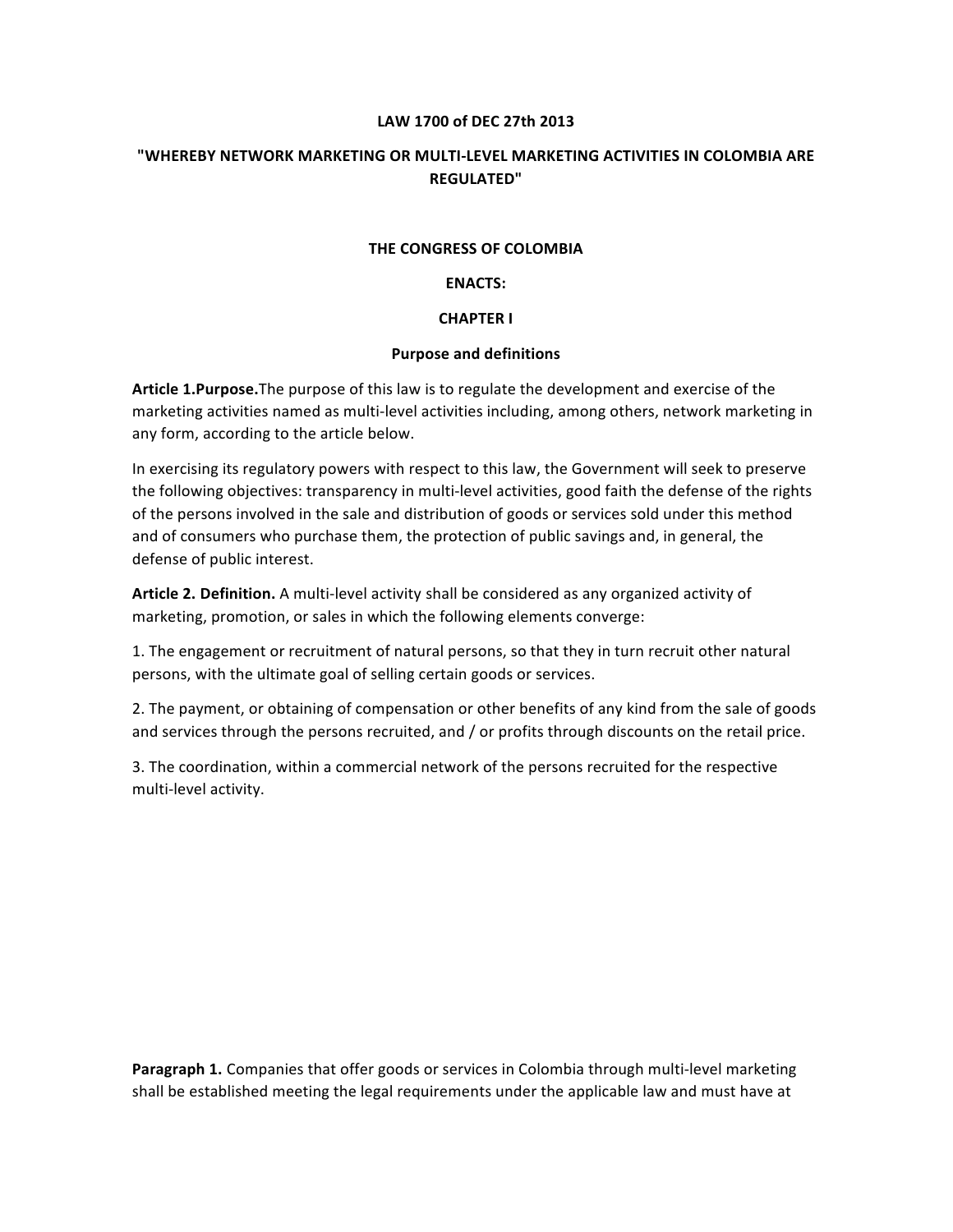#### **LAW 1700 of DEC 27th 2013**

## **"WHEREBY NETWORK MARKETING OR MULTI-LEVEL MARKETING ACTIVITIES IN COLOMBIA ARE REGULATED"**

#### **THE CONGRESS OF COLOMBIA**

#### **ENACTS:**

#### **CHAPTER I**

#### **Purpose and definitions**

**Article 1.Purpose.**The purpose of this law is to regulate the development and exercise of the marketing activities named as multi-level activities including, among others, network marketing in any form, according to the article below.

In exercising its regulatory powers with respect to this law, the Government will seek to preserve the following objectives: transparency in multi-level activities, good faith the defense of the rights of the persons involved in the sale and distribution of goods or services sold under this method and of consumers who purchase them, the protection of public savings and, in general, the defense of public interest.

**Article 2. Definition.** A multi-level activity shall be considered as any organized activity of marketing, promotion, or sales in which the following elements converge:

1. The engagement or recruitment of natural persons, so that they in turn recruit other natural persons, with the ultimate goal of selling certain goods or services.

2. The payment, or obtaining of compensation or other benefits of any kind from the sale of goods and services through the persons recruited, and / or profits through discounts on the retail price.

3. The coordination, within a commercial network of the persons recruited for the respective multi-level activity.

**Paragraph 1.** Companies that offer goods or services in Colombia through multi-level marketing shall be established meeting the legal requirements under the applicable law and must have at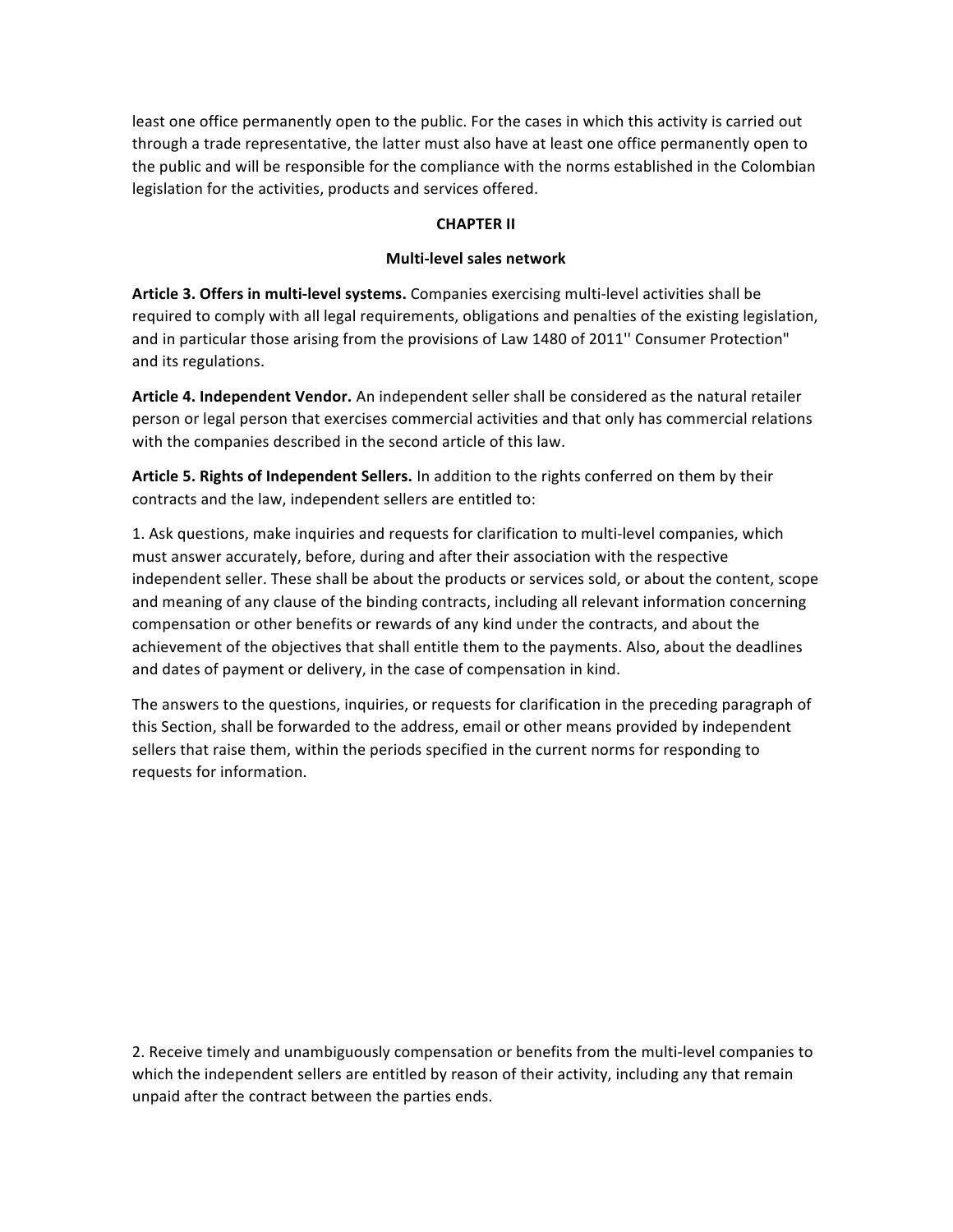least one office permanently open to the public. For the cases in which this activity is carried out through a trade representative, the latter must also have at least one office permanently open to the public and will be responsible for the compliance with the norms established in the Colombian legislation for the activities, products and services offered.

### **CHAPTER II**

# **Multi-level sales network**

**Article 3. Offers in multi-level systems.** Companies exercising multi-level activities shall be required to comply with all legal requirements, obligations and penalties of the existing legislation, and in particular those arising from the provisions of Law 1480 of 2011'' Consumer Protection" and its regulations.

**Article 4. Independent Vendor.** An independent seller shall be considered as the natural retailer person or legal person that exercises commercial activities and that only has commercial relations with the companies described in the second article of this law.

**Article 5. Rights of Independent Sellers.** In addition to the rights conferred on them by their contracts and the law, independent sellers are entitled to:

1. Ask questions, make inquiries and requests for clarification to multi-level companies, which must answer accurately, before, during and after their association with the respective independent seller. These shall be about the products or services sold, or about the content, scope and meaning of any clause of the binding contracts, including all relevant information concerning compensation or other benefits or rewards of any kind under the contracts, and about the achievement of the objectives that shall entitle them to the payments. Also, about the deadlines and dates of payment or delivery, in the case of compensation in kind.

The answers to the questions, inquiries, or requests for clarification in the preceding paragraph of this Section, shall be forwarded to the address, email or other means provided by independent sellers that raise them, within the periods specified in the current norms for responding to requests for information.

2. Receive timely and unambiguously compensation or benefits from the multi-level companies to which the independent sellers are entitled by reason of their activity, including any that remain unpaid after the contract between the parties ends.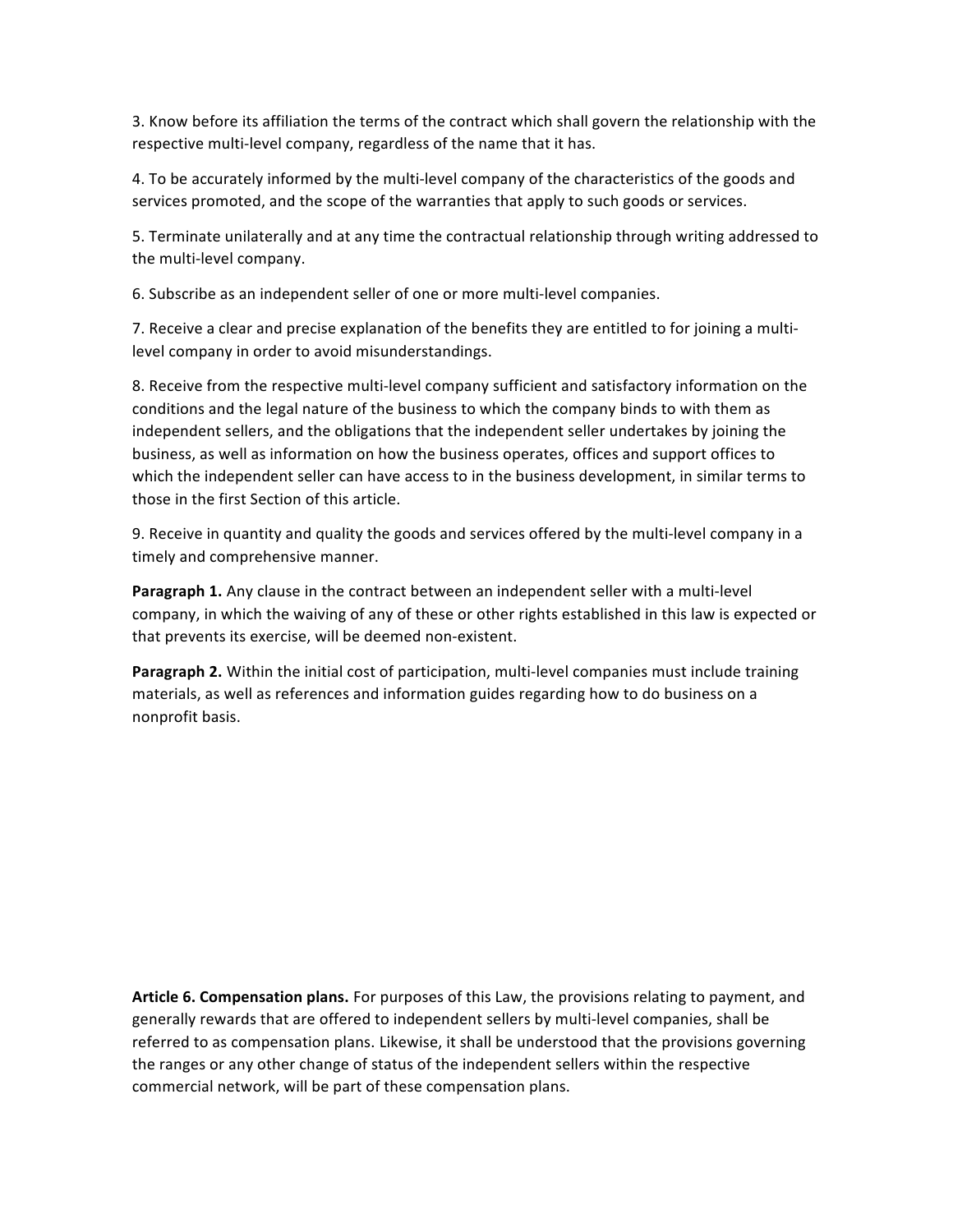3. Know before its affiliation the terms of the contract which shall govern the relationship with the respective multi-level company, regardless of the name that it has.

4. To be accurately informed by the multi-level company of the characteristics of the goods and services promoted, and the scope of the warranties that apply to such goods or services.

5. Terminate unilaterally and at any time the contractual relationship through writing addressed to the multi-level company.

6. Subscribe as an independent seller of one or more multi-level companies.

7. Receive a clear and precise explanation of the benefits they are entitled to for joining a multilevel company in order to avoid misunderstandings.

8. Receive from the respective multi-level company sufficient and satisfactory information on the conditions and the legal nature of the business to which the company binds to with them as independent sellers, and the obligations that the independent seller undertakes by joining the business, as well as information on how the business operates, offices and support offices to which the independent seller can have access to in the business development, in similar terms to those in the first Section of this article.

9. Receive in quantity and quality the goods and services offered by the multi-level company in a timely and comprehensive manner.

**Paragraph 1.** Any clause in the contract between an independent seller with a multi-level company, in which the waiving of any of these or other rights established in this law is expected or that prevents its exercise, will be deemed non-existent.

**Paragraph 2.** Within the initial cost of participation, multi-level companies must include training materials, as well as references and information guides regarding how to do business on a nonprofit basis.

**Article 6. Compensation plans.** For purposes of this Law, the provisions relating to payment, and generally rewards that are offered to independent sellers by multi-level companies, shall be referred to as compensation plans. Likewise, it shall be understood that the provisions governing the ranges or any other change of status of the independent sellers within the respective commercial network, will be part of these compensation plans.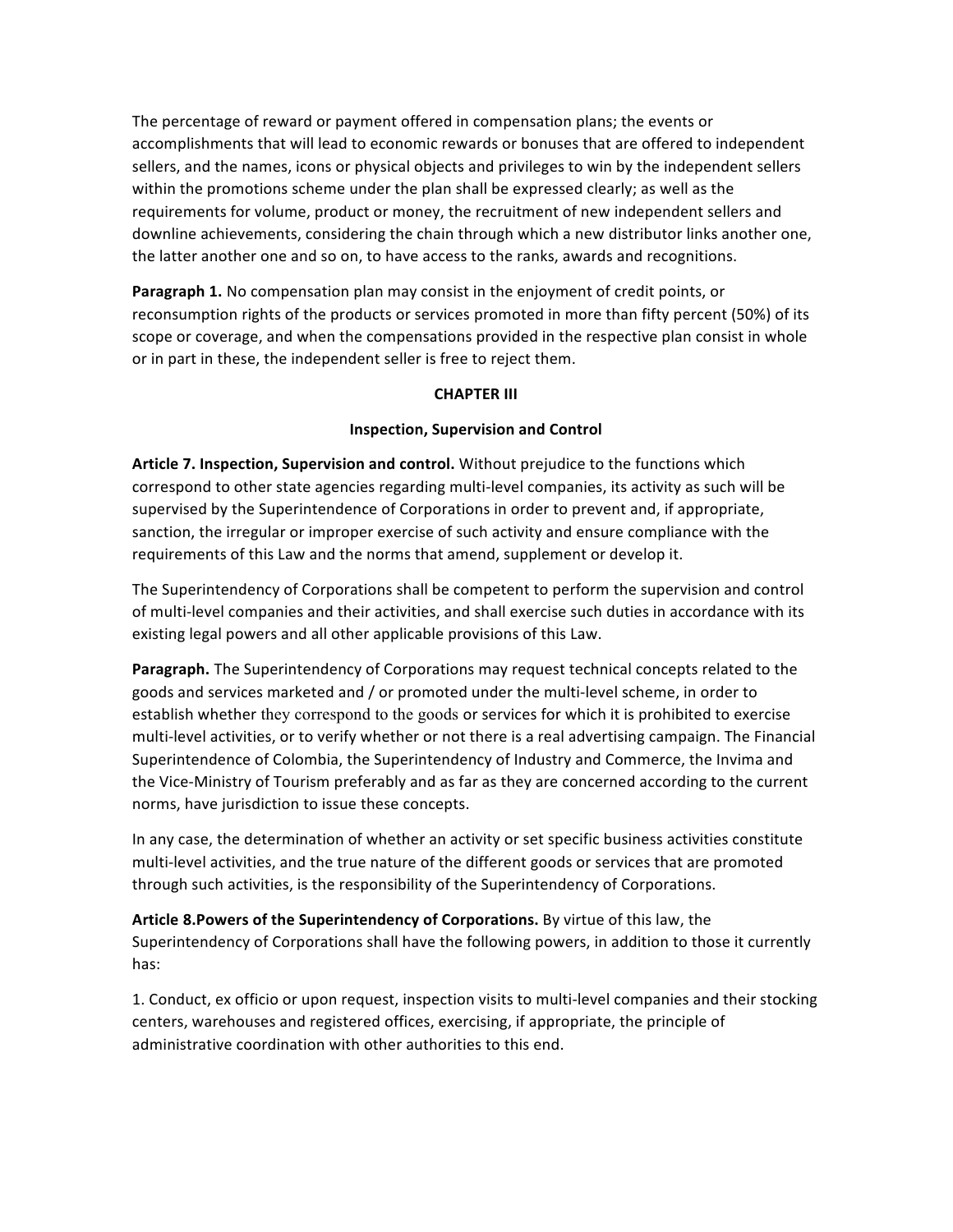The percentage of reward or payment offered in compensation plans; the events or accomplishments that will lead to economic rewards or bonuses that are offered to independent sellers, and the names, icons or physical objects and privileges to win by the independent sellers within the promotions scheme under the plan shall be expressed clearly; as well as the requirements for volume, product or money, the recruitment of new independent sellers and downline achievements, considering the chain through which a new distributor links another one, the latter another one and so on, to have access to the ranks, awards and recognitions.

**Paragraph 1.** No compensation plan may consist in the enjoyment of credit points, or reconsumption rights of the products or services promoted in more than fifty percent (50%) of its scope or coverage, and when the compensations provided in the respective plan consist in whole or in part in these, the independent seller is free to reject them.

### **CHAPTER III**

# **Inspection, Supervision and Control**

**Article 7. Inspection, Supervision and control.** Without prejudice to the functions which correspond to other state agencies regarding multi-level companies, its activity as such will be supervised by the Superintendence of Corporations in order to prevent and, if appropriate, sanction, the irregular or improper exercise of such activity and ensure compliance with the requirements of this Law and the norms that amend, supplement or develop it.

The Superintendency of Corporations shall be competent to perform the supervision and control of multi-level companies and their activities, and shall exercise such duties in accordance with its existing legal powers and all other applicable provisions of this Law.

**Paragraph.** The Superintendency of Corporations may request technical concepts related to the goods and services marketed and / or promoted under the multi-level scheme, in order to establish whether they correspond to the goods or services for which it is prohibited to exercise multi-level activities, or to verify whether or not there is a real advertising campaign. The Financial Superintendence of Colombia, the Superintendency of Industry and Commerce, the Invima and the Vice-Ministry of Tourism preferably and as far as they are concerned according to the current norms, have jurisdiction to issue these concepts.

In any case, the determination of whether an activity or set specific business activities constitute multi-level activities, and the true nature of the different goods or services that are promoted through such activities, is the responsibility of the Superintendency of Corporations.

**Article 8.Powers of the Superintendency of Corporations.** By virtue of this law, the Superintendency of Corporations shall have the following powers, in addition to those it currently has:

1. Conduct, ex officio or upon request, inspection visits to multi-level companies and their stocking centers, warehouses and registered offices, exercising, if appropriate, the principle of administrative coordination with other authorities to this end.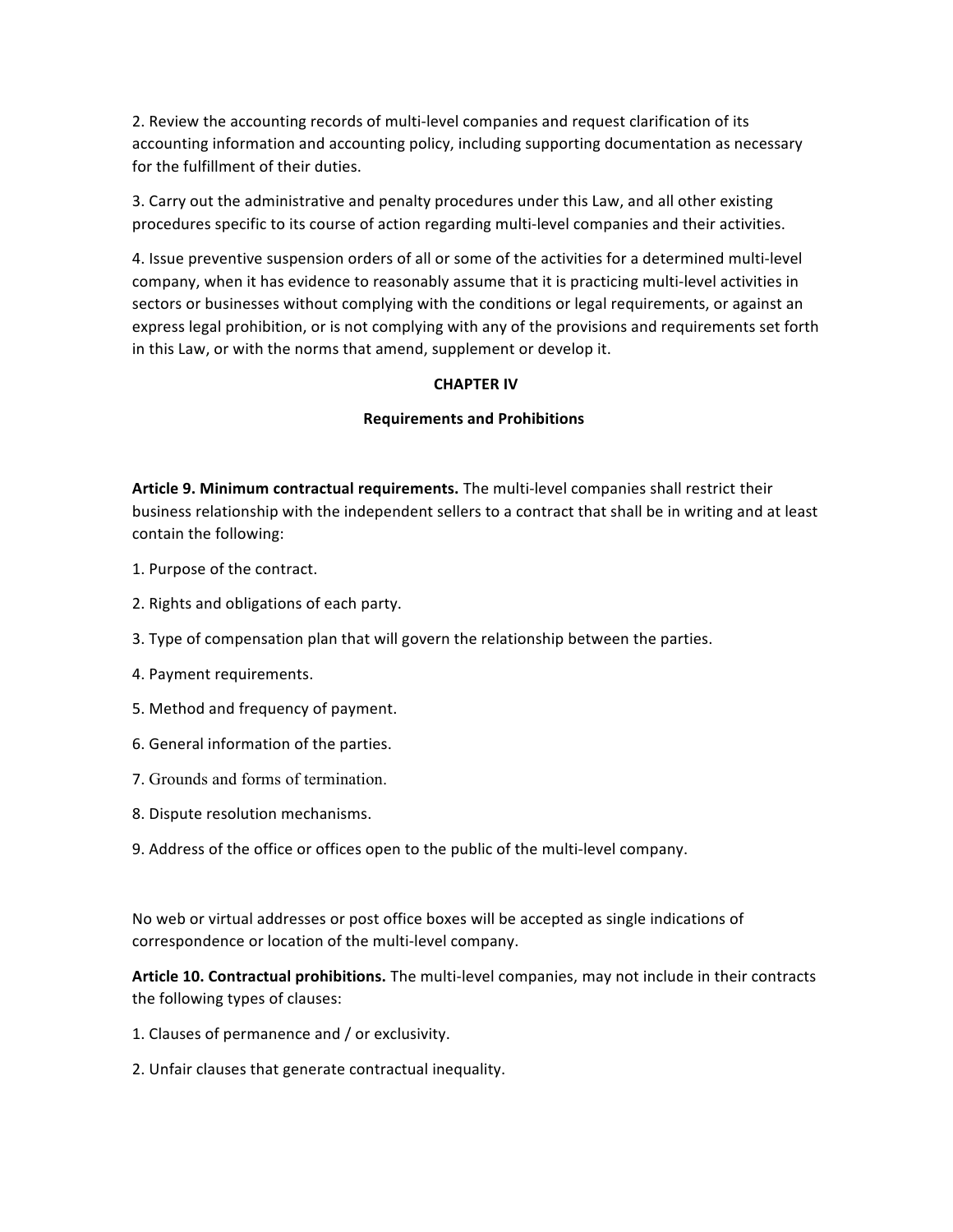2. Review the accounting records of multi-level companies and request clarification of its accounting information and accounting policy, including supporting documentation as necessary for the fulfillment of their duties.

3. Carry out the administrative and penalty procedures under this Law, and all other existing procedures specific to its course of action regarding multi-level companies and their activities.

4. Issue preventive suspension orders of all or some of the activities for a determined multi-level company, when it has evidence to reasonably assume that it is practicing multi-level activities in sectors or businesses without complying with the conditions or legal requirements, or against an express legal prohibition, or is not complying with any of the provisions and requirements set forth in this Law, or with the norms that amend, supplement or develop it.

### **CHAPTER IV**

# **Requirements and Prohibitions**

**Article 9. Minimum contractual requirements.** The multi-level companies shall restrict their business relationship with the independent sellers to a contract that shall be in writing and at least contain the following:

- 1. Purpose of the contract.
- 2. Rights and obligations of each party.
- 3. Type of compensation plan that will govern the relationship between the parties.
- 4. Payment requirements.
- 5. Method and frequency of payment.
- 6. General information of the parties.
- 7. Grounds and forms of termination.
- 8. Dispute resolution mechanisms.
- 9. Address of the office or offices open to the public of the multi-level company.

No web or virtual addresses or post office boxes will be accepted as single indications of correspondence or location of the multi-level company.

**Article 10. Contractual prohibitions.** The multi-level companies, may not include in their contracts the following types of clauses:

- 1. Clauses of permanence and / or exclusivity.
- 2. Unfair clauses that generate contractual inequality.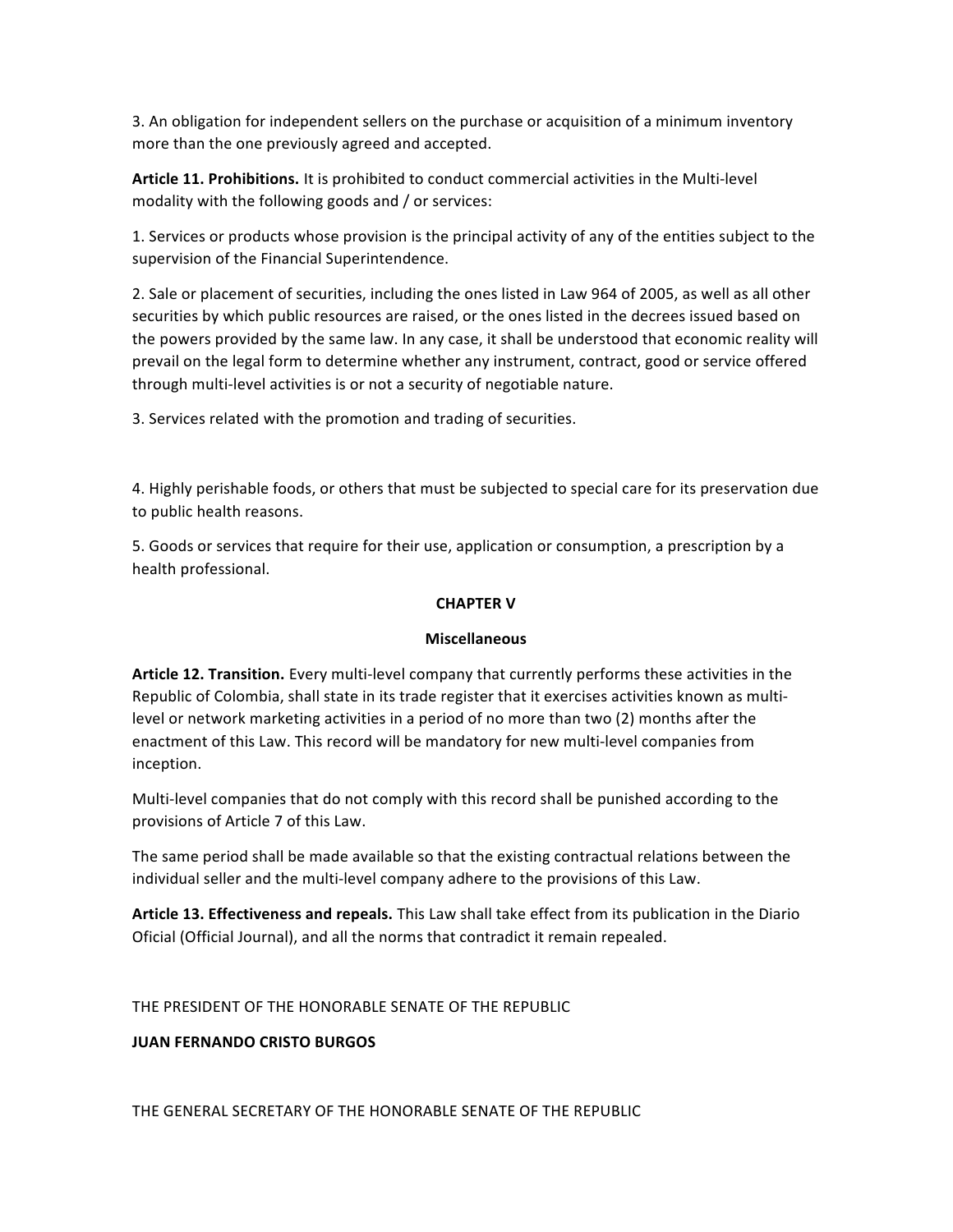3. An obligation for independent sellers on the purchase or acquisition of a minimum inventory more than the one previously agreed and accepted.

**Article 11. Prohibitions.** It is prohibited to conduct commercial activities in the Multi-level modality with the following goods and / or services:

1. Services or products whose provision is the principal activity of any of the entities subject to the supervision of the Financial Superintendence.

2. Sale or placement of securities, including the ones listed in Law 964 of 2005, as well as all other securities by which public resources are raised, or the ones listed in the decrees issued based on the powers provided by the same law. In any case, it shall be understood that economic reality will prevail on the legal form to determine whether any instrument, contract, good or service offered through multi-level activities is or not a security of negotiable nature.

3. Services related with the promotion and trading of securities.

4. Highly perishable foods, or others that must be subjected to special care for its preservation due to public health reasons.

5. Goods or services that require for their use, application or consumption, a prescription by a health professional.

# **CHAPTER V**

### **Miscellaneous**

**Article 12. Transition.** Every multi-level company that currently performs these activities in the Republic of Colombia, shall state in its trade register that it exercises activities known as multilevel or network marketing activities in a period of no more than two (2) months after the enactment of this Law. This record will be mandatory for new multi-level companies from inception.

Multi-level companies that do not comply with this record shall be punished according to the provisions of Article 7 of this Law.

The same period shall be made available so that the existing contractual relations between the individual seller and the multi-level company adhere to the provisions of this Law.

**Article 13. Effectiveness and repeals.** This Law shall take effect from its publication in the Diario Oficial (Official Journal), and all the norms that contradict it remain repealed.

THE PRESIDENT OF THE HONORABLE SENATE OF THE REPUBLIC

### **JUAN FERNANDO CRISTO BURGOS**

THE GENERAL SECRETARY OF THE HONORABLE SENATE OF THE REPUBLIC